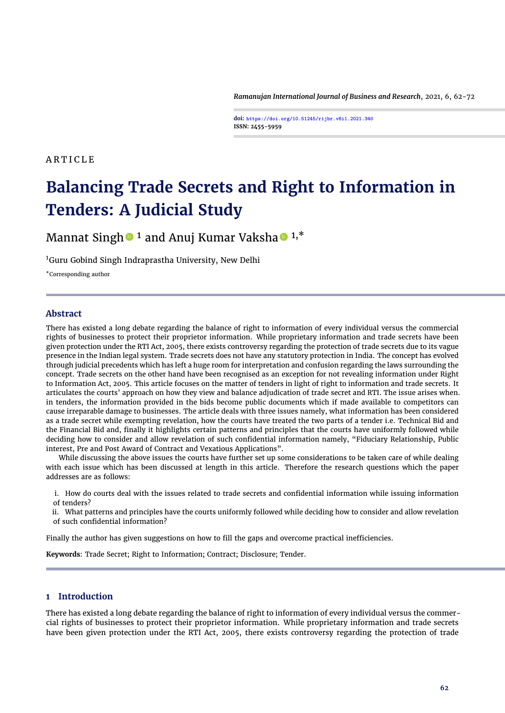*Ramanujan International Journal of Business and Research*, 2021, 6, 62[-72](#page-10-0)

**doi: https://doi.org/10.51245/rijbr.v6i1.2021.340 ISSN: 2455-5959**

# **ARTICLE**

# **Balancing Trade Secrets and Right to Information in Tenders: A Judicial Study**

Mannat Singh<sup>o 1</sup> and Anuj Kumar Vaksha<sup>o 1,\*</sup>

<sup>1</sup>Guru Gobind Singh Indraprastha University, New Delhi

\*Corresponding author

#### **Abstract**

There has existed a long debate regarding the balance of right to information of every individual versus the commercial rights of businesses to protect their proprietor information. While proprietary information and trade secrets have been given protection under the RTI Act, 2005, there exists controversy regarding the protection of trade secrets due to its vague presence in the Indian legal system. Trade secrets does not have any statutory protection in India. The concept has evolved through judicial precedents which has left a huge room for interpretation and confusion regarding the laws surrounding the concept. Trade secrets on the other hand have been recognised as an exception for not revealing information under Right to Information Act, 2005. This article focuses on the matter of tenders in light of right to information and trade secrets. It articulates the courts' approach on how they view and balance adjudication of trade secret and RTI. The issue arises when. in tenders, the information provided in the bids become public documents which if made available to competitors can cause irreparable damage to businesses. The article deals with three issues namely, what information has been considered as a trade secret while exempting revelation, how the courts have treated the two parts of a tender i.e. Technical Bid and the Financial Bid and, finally it highlights certain patterns and principles that the courts have uniformly followed while deciding how to consider and allow revelation of such confidential information namely, "Fiduciary Relationship, Public interest, Pre and Post Award of Contract and Vexatious Applications".

While discussing the above issues the courts have further set up some considerations to be taken care of while dealing with each issue which has been discussed at length in this article. Therefore the research questions which the paper addresses are as follows:

- i. How do courts deal with the issues related to trade secrets and confidential information while issuing information of tenders?
- ii. What patterns and principles have the courts uniformly followed while deciding how to consider and allow revelation of such confidential information?

Finally the author has given suggestions on how to fill the gaps and overcome practical inefficiencies.

**Keywords**: Trade Secret; Right to Information; Contract; Disclosure; Tender.

## **1 Introduction**

There has existed a long debate regarding the balance of right to information of every individual versus the commercial rights of businesses to protect their proprietor information. While proprietary information and trade secrets have been given protection under the RTI Act, 2005, there exists controversy regarding the protection of trade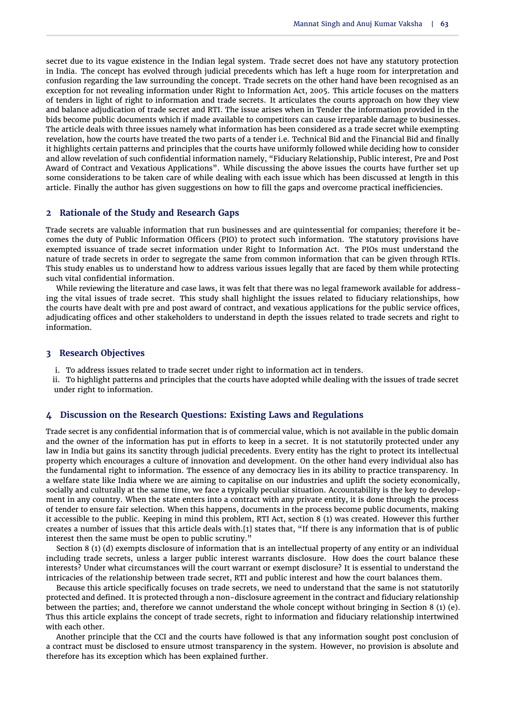secret due to its vague existence in the Indian legal system. Trade secret does not have any statutory protection in India. The concept has evolved through judicial precedents which has left a huge room for interpretation and confusion regarding the law surrounding the concept. Trade secrets on the other hand have been recognised as an exception for not revealing information under Right to Information Act, 2005. This article focuses on the matters of tenders in light of right to information and trade secrets. It articulates the courts approach on how they view and balance adjudication of trade secret and RTI. The issue arises when in Tender the information provided in the bids become public documents which if made available to competitors can cause irreparable damage to businesses. The article deals with three issues namely what information has been considered as a trade secret while exempting revelation, how the courts have treated the two parts of a tender i.e. Technical Bid and the Financial Bid and finally it highlights certain patterns and principles that the courts have uniformly followed while deciding how to consider and allow revelation of such confidential information namely, "Fiduciary Relationship, Public interest, Pre and Post Award of Contract and Vexatious Applications". While discussing the above issues the courts have further set up some considerations to be taken care of while dealing with each issue which has been discussed at length in this article. Finally the author has given suggestions on how to fill the gaps and overcome practical inefficiencies.

## **2 Rationale of the Study and Research Gaps**

Trade secrets are valuable information that run businesses and are quintessential for companies; therefore it becomes the duty of Public Information Officers (PIO) to protect such information. The statutory provisions have exempted issuance of trade secret information under Right to Information Act. The PIOs must understand the nature of trade secrets in order to segregate the same from common information that can be given through RTIs. This study enables us to understand how to address various issues legally that are faced by them while protecting such vital confidential information.

While reviewing the literature and case laws, it was felt that there was no legal framework available for addressing the vital issues of trade secret. This study shall highlight the issues related to fiduciary relationships, how the courts have dealt with pre and post award of contract, and vexatious applications for the public service offices, adjudicating offices and other stakeholders to understand in depth the issues related to trade secrets and right to information.

#### **3 Research Objectives**

- i. To address issues related to trade secret under right to information act in tenders.
- ii. To highlight patterns and principles that the courts have adopted while dealing with the issues of trade secret under right to information.

# **4 Discussion on the Research Questions: Existing Laws and Regulations**

Trade secret is any confidential information that is of commercial value, which is not available in the public domain and the owner of the information has put in efforts to keep in a secret. It is not statutorily protected under any law in India but gains its sanctity through judicial precedents. Every entity has the right to protect its intellectual property which encourages a culture of innovation and development. On the other hand every individual also has the fundamental right to information. The essence of any democracy lies in its ability to practice transparency. In a welfare state like India where we are aiming to capitalise on our industries and uplift the society economically, socially and culturally at the same time, we face a typically peculiar situation. Accountability is the key to development in any country. When the state enters into a contract with any private entity, it is done through the process of tender to ensure fair selection. When this happens, documents in the process become public documents, making it accessible to the public. Keeping in mind this problem, RTI Act, section 8 (1) was created. However this further creates a number of issues that this article deals with.[\[1\]](#page-9-0) states that, "If there is any information that is of public interest then the same must be open to public scrutiny."

Section 8 (1) (d) exempts disclosure of information that is an intellectual property of any entity or an individual including trade secrets, unless a larger public interest warrants disclosure. How does the court balance these interests? Under what circumstances will the court warrant or exempt disclosure? It is essential to understand the intricacies of the relationship between trade secret, RTI and public interest and how the court balances them.

Because this article specifically focuses on trade secrets, we need to understand that the same is not statutorily protected and defined. It is protected through a non-disclosure agreement in the contract and fiduciary relationship between the parties; and, therefore we cannot understand the whole concept without bringing in Section 8 (1) (e). Thus this article explains the concept of trade secrets, right to information and fiduciary relationship intertwined with each other.

Another principle that the CCI and the courts have followed is that any information sought post conclusion of a contract must be disclosed to ensure utmost transparency in the system. However, no provision is absolute and therefore has its exception which has been explained further.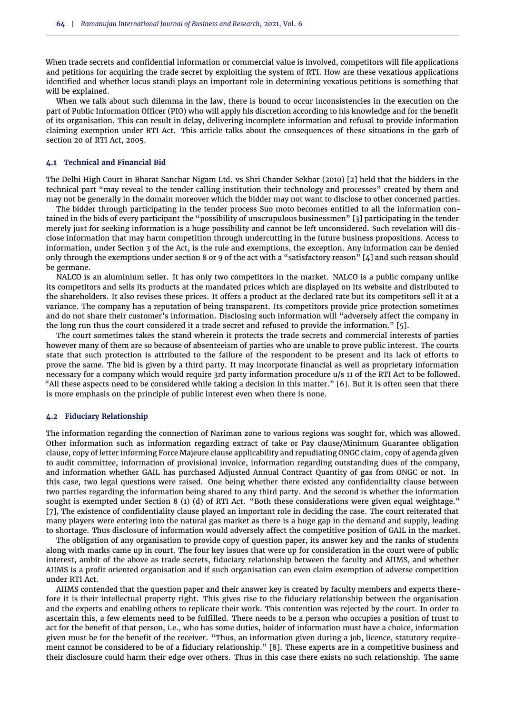When trade secrets and confidential information or commercial value is involved, competitors will file applications and petitions for acquiring the trade secret by exploiting the system of RTI. How are these vexatious applications identified and whether locus standi plays an important role in determining vexatious petitions is something that will be explained.

When we talk about such dilemma in the law, there is bound to occur inconsistencies in the execution on the part of Public Information Officer (PIO) who will apply his discretion according to his knowledge and for the benefit of its organisation. This can result in delay, delivering incomplete information and refusal to provide information claiming exemption under RTI Act. This article talks about the consequences of these situations in the garb of section 20 of RTI Act, 2005.

# **4.1 Technical and Financial Bid**

The Delhi High Court in Bharat Sanchar Nigam Ltd. vs Shri Chander Sekhar (2010) [\[2\]](#page-9-1) held that the bidders in the technical part "may reveal to the tender calling institution their technology and processes" created by them and may not be generally in the domain moreover which the bidder may not want to disclose to other concerned parties.

The bidder through participating in the tender process Suo moto becomes entitled to all the information contained in the bids of every participant the "possibility of unscrupulous businessmen" [\[3\]](#page-9-2) participating in the tender merely just for seeking information is a huge possibility and cannot be left unconsidered. Such revelation will disclose information that may harm competition through undercutting in the future business propositions. Access to information, under Section 3 of the Act, is the rule and exemptions, the exception. Any information can be denied only through the exemptions under section 8 or 9 of the act with a "satisfactory reason" [\[4\]](#page-9-3) and such reason should be germane.

NALCO is an aluminium seller. It has only two competitors in the market. NALCO is a public company unlike its competitors and sells its products at the mandated prices which are displayed on its website and distributed to the shareholders. It also revises these prices. It offers a product at the declared rate but its competitors sell it at a variance. The company has a reputation of being transparent. Its competitors provide price protection sometimes and do not share their customer's information. Disclosing such information will "adversely affect the company in the long run thus the court considered it a trade secret and refused to provide the information." [\[5\]](#page-10-1).

The court sometimes takes the stand wherein it protects the trade secrets and commercial interests of parties however many of them are so because of absenteeism of parties who are unable to prove public interest. The courts state that such protection is attributed to the failure of the respondent to be present and its lack of efforts to prove the same. The bid is given by a third party. It may incorporate financial as well as proprietary information necessary for a company which would require 3rd party information procedure u/s 11 of the RTI Act to be followed. "All these aspects need to be considered while taking a decision in this matter." [\[6\]](#page-10-2). But it is often seen that there is more emphasis on the principle of public interest even when there is none.

#### **4.2 Fiduciary Relationship**

The information regarding the connection of Nariman zone to various regions was sought for, which was allowed. Other information such as information regarding extract of take or Pay clause/Minimum Guarantee obligation clause, copy of letter informing Force Majeure clause applicability and repudiating ONGC claim, copy of agenda given to audit committee, information of provisional invoice, information regarding outstanding dues of the company, and information whether GAIL has purchased Adjusted Annual Contract Quantity of gas from ONGC or not. In this case, two legal questions were raised. One being whether there existed any confidentiality clause between two parties regarding the information being shared to any third party. And the second is whether the information sought is exempted under Section 8 (1) (d) of RTI Act. "Both these considerations were given equal weightage." [\[7\]](#page-10-3), The existence of confidentiality clause played an important role in deciding the case. The court reiterated that many players were entering into the natural gas market as there is a huge gap in the demand and supply, leading to shortage. Thus disclosure of information would adversely affect the competitive position of GAIL in the market.

The obligation of any organisation to provide copy of question paper, its answer key and the ranks of students along with marks came up in court. The four key issues that were up for consideration in the court were of public interest, ambit of the above as trade secrets, fiduciary relationship between the faculty and AIIMS, and whether AIIMS is a profit oriented organisation and if such organisation can even claim exemption of adverse competition under RTI Act.

AIIMS contended that the question paper and their answer key is created by faculty members and experts therefore it is their intellectual property right. This gives rise to the fiduciary relationship between the organisation and the experts and enabling others to replicate their work. This contention was rejected by the court. In order to ascertain this, a few elements need to be fulfilled. There needs to be a person who occupies a position of trust to act for the benefit of that person, i.e., who has some duties, holder of information must have a choice, information given must be for the benefit of the receiver. "Thus, an information given during a job, licence, statutory requirement cannot be considered to be of a fiduciary relationship." [\[8\]](#page-10-4). These experts are in a competitive business and their disclosure could harm their edge over others. Thus in this case there exists no such relationship. The same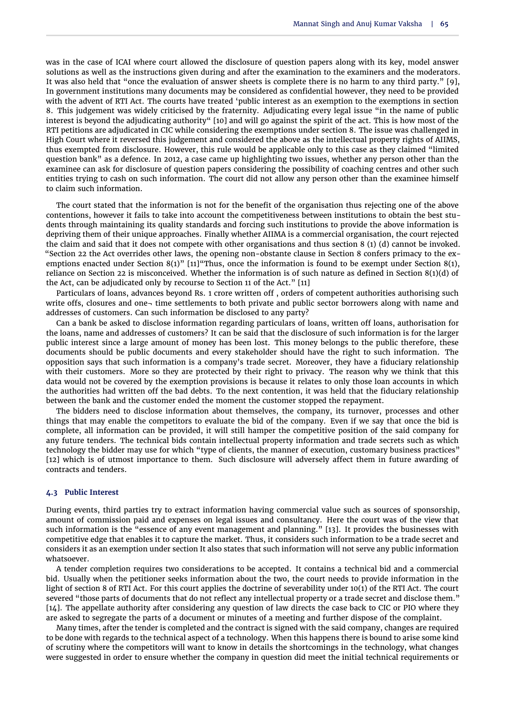was in the case of ICAI where court allowed the disclosure of question papers along with its key, model answer solutions as well as the instructions given during and after the examination to the examiners and the moderators. It was also held that "once the evaluation of answer sheets is complete there is no harm to any third party." [\[9\]](#page-10-5), In government institutions many documents may be considered as confidential however, they need to be provided with the advent of RTI Act. The courts have treated 'public interest as an exemption to the exemptions in section 8. This judgement was widely criticised by the fraternity. Adjudicating every legal issue "in the name of public interest is beyond the adjudicating authority" [\[10\]](#page-10-6) and will go against the spirit of the act. This is how most of the RTI petitions are adjudicated in CIC while considering the exemptions under section 8. The issue was challenged in High Court where it reversed this judgement and considered the above as the intellectual property rights of AIIMS, thus exempted from disclosure. However, this rule would be applicable only to this case as they claimed "limited question bank" as a defence. In 2012, a case came up highlighting two issues, whether any person other than the examinee can ask for disclosure of question papers considering the possibility of coaching centres and other such entities trying to cash on such information. The court did not allow any person other than the examinee himself to claim such information.

The court stated that the information is not for the benefit of the organisation thus rejecting one of the above contentions, however it fails to take into account the competitiveness between institutions to obtain the best students through maintaining its quality standards and forcing such institutions to provide the above information is depriving them of their unique approaches. Finally whether AIIMA is a commercial organisation, the court rejected the claim and said that it does not compete with other organisations and thus section 8 (1) (d) cannot be invoked. "Section 22 the Act overrides other laws, the opening non-obstante clause in Section 8 confers primacy to the ex-emptions enacted under Section 8(1)" [\[11\]](#page-10-7)"Thus, once the information is found to be exempt under Section 8(1), reliance on Section 22 is misconceived. Whether the information is of such nature as defined in Section 8(1)(d) of the Act, can be adjudicated only by recourse to Section 11 of the Act." [\[11\]](#page-10-7)

Particulars of loans, advances beyond Rs. 1 crore written off , orders of competent authorities authorising such write offs, closures and one- time settlements to both private and public sector borrowers along with name and addresses of customers. Can such information be disclosed to any party?

Can a bank be asked to disclose information regarding particulars of loans, written off loans, authorisation for the loans, name and addresses of customers? It can be said that the disclosure of such information is for the larger public interest since a large amount of money has been lost. This money belongs to the public therefore, these documents should be public documents and every stakeholder should have the right to such information. The opposition says that such information is a company's trade secret. Moreover, they have a fiduciary relationship with their customers. More so they are protected by their right to privacy. The reason why we think that this data would not be covered by the exemption provisions is because it relates to only those loan accounts in which the authorities had written off the bad debts. To the next contention, it was held that the fiduciary relationship between the bank and the customer ended the moment the customer stopped the repayment.

The bidders need to disclose information about themselves, the company, its turnover, processes and other things that may enable the competitors to evaluate the bid of the company. Even if we say that once the bid is complete, all information can be provided, it will still hamper the competitive position of the said company for any future tenders. The technical bids contain intellectual property information and trade secrets such as which technology the bidder may use for which "type of clients, the manner of execution, customary business practices" [\[12\]](#page-10-8) which is of utmost importance to them. Such disclosure will adversely affect them in future awarding of contracts and tenders.

#### **4.3 Public Interest**

During events, third parties try to extract information having commercial value such as sources of sponsorship, amount of commission paid and expenses on legal issues and consultancy. Here the court was of the view that such information is the "essence of any event management and planning." [\[13\]](#page-10-9). It provides the businesses with competitive edge that enables it to capture the market. Thus, it considers such information to be a trade secret and considers it as an exemption under section It also states that such information will not serve any public information whatsoever.

A tender completion requires two considerations to be accepted. It contains a technical bid and a commercial bid. Usually when the petitioner seeks information about the two, the court needs to provide information in the light of section 8 of RTI Act. For this court applies the doctrine of severability under 10(1) of the RTI Act. The court severed "those parts of documents that do not reflect any intellectual property or a trade secret and disclose them." [\[14\]](#page-10-10). The appellate authority after considering any question of law directs the case back to CIC or PIO where they are asked to segregate the parts of a document or minutes of a meeting and further dispose of the complaint.

Many times, after the tender is completed and the contract is signed with the said company, changes are required to be done with regards to the technical aspect of a technology. When this happens there is bound to arise some kind of scrutiny where the competitors will want to know in details the shortcomings in the technology, what changes were suggested in order to ensure whether the company in question did meet the initial technical requirements or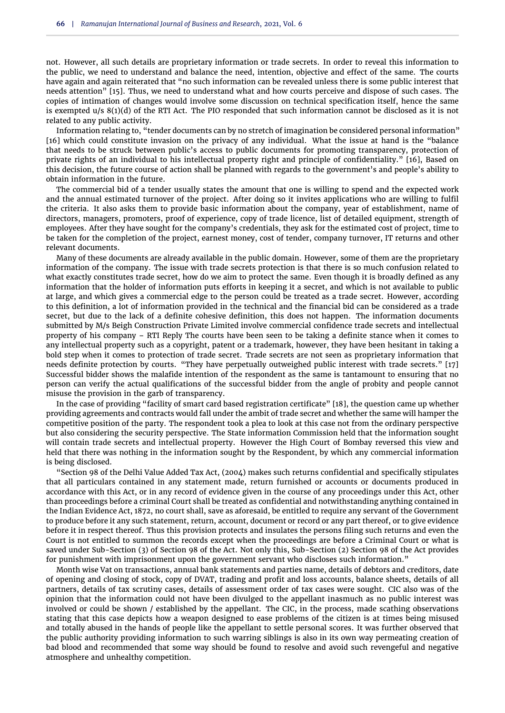not. However, all such details are proprietary information or trade secrets. In order to reveal this information to the public, we need to understand and balance the need, intention, objective and effect of the same. The courts have again and again reiterated that "no such information can be revealed unless there is some public interest that needs attention" [\[15\]](#page-10-11). Thus, we need to understand what and how courts perceive and dispose of such cases. The copies of intimation of changes would involve some discussion on technical specification itself, hence the same is exempted u/s 8(1)(d) of the RTI Act. The PIO responded that such information cannot be disclosed as it is not related to any public activity.

Information relating to, "tender documents can by no stretch of imagination be considered personal information" [\[16\]](#page-10-12) which could constitute invasion on the privacy of any individual. What the issue at hand is the "balance that needs to be struck between public's access to public documents for promoting transparency, protection of private rights of an individual to his intellectual property right and principle of confidentiality." [\[16\]](#page-10-12), Based on this decision, the future course of action shall be planned with regards to the government's and people's ability to obtain information in the future.

The commercial bid of a tender usually states the amount that one is willing to spend and the expected work and the annual estimated turnover of the project. After doing so it invites applications who are willing to fulfil the criteria. It also asks them to provide basic information about the company, year of establishment, name of directors, managers, promoters, proof of experience, copy of trade licence, list of detailed equipment, strength of employees. After they have sought for the company's credentials, they ask for the estimated cost of project, time to be taken for the completion of the project, earnest money, cost of tender, company turnover, IT returns and other relevant documents.

Many of these documents are already available in the public domain. However, some of them are the proprietary information of the company. The issue with trade secrets protection is that there is so much confusion related to what exactly constitutes trade secret, how do we aim to protect the same. Even though it is broadly defined as any information that the holder of information puts efforts in keeping it a secret, and which is not available to public at large, and which gives a commercial edge to the person could be treated as a trade secret. However, according to this definition, a lot of information provided in the technical and the financial bid can be considered as a trade secret, but due to the lack of a definite cohesive definition, this does not happen. The information documents submitted by M/s Beigh Construction Private Limited involve commercial confidence trade secrets and intellectual property of his company – RTI Reply The courts have been seen to be taking a definite stance when it comes to any intellectual property such as a copyright, patent or a trademark, however, they have been hesitant in taking a bold step when it comes to protection of trade secret. Trade secrets are not seen as proprietary information that needs definite protection by courts. "They have perpetually outweighed public interest with trade secrets." [\[17\]](#page-10-13) Successful bidder shows the malafide intention of the respondent as the same is tantamount to ensuring that no person can verify the actual qualifications of the successful bidder from the angle of probity and people cannot misuse the provision in the garb of transparency.

In the case of providing "facility of smart card based registration certificate" [\[18\]](#page-10-14), the question came up whether providing agreements and contracts would fall under the ambit of trade secret and whether the same will hamper the competitive position of the party. The respondent took a plea to look at this case not from the ordinary perspective but also considering the security perspective. The State information Commission held that the information sought will contain trade secrets and intellectual property. However the High Court of Bombay reversed this view and held that there was nothing in the information sought by the Respondent, by which any commercial information is being disclosed.

"Section 98 of the Delhi Value Added Tax Act, (2004) makes such returns confidential and specifically stipulates that all particulars contained in any statement made, return furnished or accounts or documents produced in accordance with this Act, or in any record of evidence given in the course of any proceedings under this Act, other than proceedings before a criminal Court shall be treated as confidential and notwithstanding anything contained in the Indian Evidence Act, 1872, no court shall, save as aforesaid, be entitled to require any servant of the Government to produce before it any such statement, return, account, document or record or any part thereof, or to give evidence before it in respect thereof. Thus this provision protects and insulates the persons filing such returns and even the Court is not entitled to summon the records except when the proceedings are before a Criminal Court or what is saved under Sub-Section (3) of Section 98 of the Act. Not only this, Sub-Section (2) Section 98 of the Act provides for punishment with imprisonment upon the government servant who discloses such information."

Month wise Vat on transactions, annual bank statements and parties name, details of debtors and creditors, date of opening and closing of stock, copy of DVAT, trading and profit and loss accounts, balance sheets, details of all partners, details of tax scrutiny cases, details of assessment order of tax cases were sought. CIC also was of the opinion that the information could not have been divulged to the appellant inasmuch as no public interest was involved or could be shown / established by the appellant. The CIC, in the process, made scathing observations stating that this case depicts how a weapon designed to ease problems of the citizen is at times being misused and totally abused in the hands of people like the appellant to settle personal scores. It was further observed that the public authority providing information to such warring siblings is also in its own way permeating creation of bad blood and recommended that some way should be found to resolve and avoid such revengeful and negative atmosphere and unhealthy competition.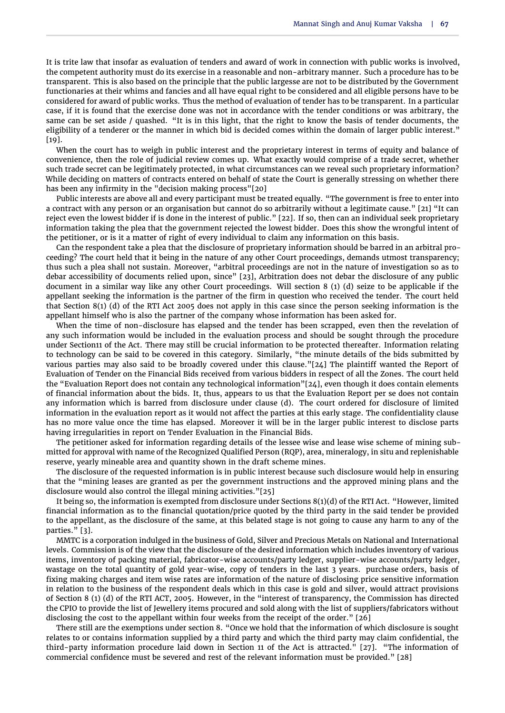It is trite law that insofar as evaluation of tenders and award of work in connection with public works is involved, the competent authority must do its exercise in a reasonable and non-arbitrary manner. Such a procedure has to be transparent. This is also based on the principle that the public largesse are not to be distributed by the Government functionaries at their whims and fancies and all have equal right to be considered and all eligible persons have to be considered for award of public works. Thus the method of evaluation of tender has to be transparent. In a particular case, if it is found that the exercise done was not in accordance with the tender conditions or was arbitrary, the same can be set aside / quashed. "It is in this light, that the right to know the basis of tender documents, the eligibility of a tenderer or the manner in which bid is decided comes within the domain of larger public interest." [\[19\]](#page-10-15).

When the court has to weigh in public interest and the proprietary interest in terms of equity and balance of convenience, then the role of judicial review comes up. What exactly would comprise of a trade secret, whether such trade secret can be legitimately protected, in what circumstances can we reveal such proprietary information? While deciding on matters of contracts entered on behalf of state the Court is generally stressing on whether there has been any infirmity in the "decision making process"[\[20\]](#page-10-16)

Public interests are above all and every participant must be treated equally. "The government is free to enter into a contract with any person or an organisation but cannot do so arbitrarily without a legitimate cause." [\[21\]](#page-10-17) "It can reject even the lowest bidder if is done in the interest of public." [\[22\]](#page-10-18). If so, then can an individual seek proprietary information taking the plea that the government rejected the lowest bidder. Does this show the wrongful intent of the petitioner, or is it a matter of right of every individual to claim any information on this basis.

Can the respondent take a plea that the disclosure of proprietary information should be barred in an arbitral proceeding? The court held that it being in the nature of any other Court proceedings, demands utmost transparency; thus such a plea shall not sustain. Moreover, "arbitral proceedings are not in the nature of investigation so as to debar accessibility of documents relied upon, since" [\[23\]](#page-10-19), Arbitration does not debar the disclosure of any public document in a similar way like any other Court proceedings. Will section 8 (1) (d) seize to be applicable if the appellant seeking the information is the partner of the firm in question who received the tender. The court held that Section 8(1) (d) of the RTI Act 2005 does not apply in this case since the person seeking information is the appellant himself who is also the partner of the company whose information has been asked for.

When the time of non-disclosure has elapsed and the tender has been scrapped, even then the revelation of any such information would be included in the evaluation process and should be sought through the procedure under Section11 of the Act. There may still be crucial information to be protected thereafter. Information relating to technology can be said to be covered in this category. Similarly, "the minute details of the bids submitted by various parties may also said to be broadly covered under this clause."[\[24\]](#page-10-20) The plaintiff wanted the Report of Evaluation of Tender on the Financial Bids received from various bidders in respect of all the Zones. The court held the "Evaluation Report does not contain any technological information"[\[24\]](#page-10-20), even though it does contain elements of financial information about the bids. It, thus, appears to us that the Evaluation Report per se does not contain any information which is barred from disclosure under clause (d). The court ordered for disclosure of limited information in the evaluation report as it would not affect the parties at this early stage. The confidentiality clause has no more value once the time has elapsed. Moreover it will be in the larger public interest to disclose parts having irregularities in report on Tender Evaluation in the Financial Bids.

The petitioner asked for information regarding details of the lessee wise and lease wise scheme of mining submitted for approval with name of the Recognized Qualified Person (RQP), area, mineralogy, in situ and replenishable reserve, yearly mineable area and quantity shown in the draft scheme mines.

The disclosure of the requested information is in public interest because such disclosure would help in ensuring that the "mining leases are granted as per the government instructions and the approved mining plans and the disclosure would also control the illegal mining activities."[\[25\]](#page-10-21)

It being so, the information is exempted from disclosure under Sections 8(1)(d) of the RTI Act. "However, limited financial information as to the financial quotation/price quoted by the third party in the said tender be provided to the appellant, as the disclosure of the same, at this belated stage is not going to cause any harm to any of the parties." [\[3\]](#page-9-2).

MMTC is a corporation indulged in the business of Gold, Silver and Precious Metals on National and International levels. Commission is of the view that the disclosure of the desired information which includes inventory of various items, inventory of packing material, fabricator-wise accounts/party ledger, supplier-wise accounts/party ledger, wastage on the total quantity of gold year-wise, copy of tenders in the last 3 years. purchase orders, basis of fixing making charges and item wise rates are information of the nature of disclosing price sensitive information in relation to the business of the respondent deals which in this case is gold and silver, would attract provisions of Section 8 (1) (d) of the RTI ACT, 2005. However, in the "interest of transparency, the Commission has directed the CPIO to provide the list of Jewellery items procured and sold along with the list of suppliers/fabricators without disclosing the cost to the appellant within four weeks from the receipt of the order." [\[26\]](#page-10-22)

There still are the exemptions under section 8. "Once we hold that the information of which disclosure is sought relates to or contains information supplied by a third party and which the third party may claim confidential, the third-party information procedure laid down in Section 11 of the Act is attracted." [\[27\]](#page-10-23). "The information of commercial confidence must be severed and rest of the relevant information must be provided." [\[28\]](#page-10-24)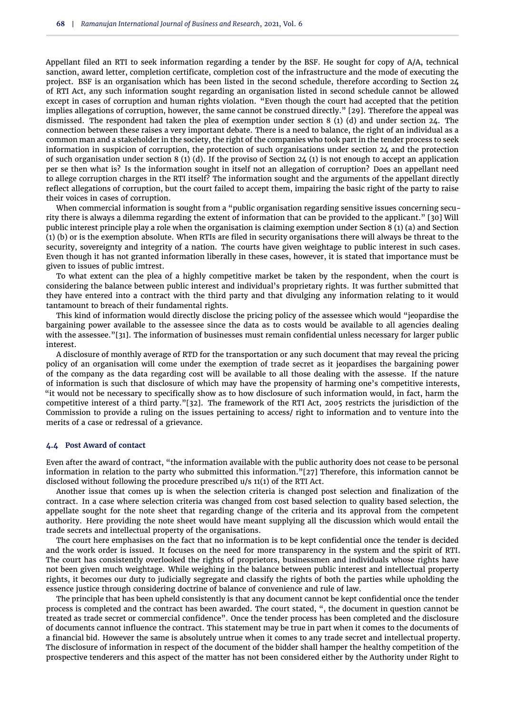Appellant filed an RTI to seek information regarding a tender by the BSF. He sought for copy of A/A, technical sanction, award letter, completion certificate, completion cost of the infrastructure and the mode of executing the project. BSF is an organisation which has been listed in the second schedule, therefore according to Section 24 of RTI Act, any such information sought regarding an organisation listed in second schedule cannot be allowed except in cases of corruption and human rights violation. "Even though the court had accepted that the petition implies allegations of corruption, however, the same cannot be construed directly." [\[29\]](#page-10-25). Therefore the appeal was dismissed. The respondent had taken the plea of exemption under section 8 (1) (d) and under section 24. The connection between these raises a very important debate. There is a need to balance, the right of an individual as a common man and a stakeholder in the society, the right of the companies who took part in the tender process to seek information in suspicion of corruption, the protection of such organisations under section 24 and the protection of such organisation under section 8 (1) (d). If the proviso of Section 24 (1) is not enough to accept an application per se then what is? Is the information sought in itself not an allegation of corruption? Does an appellant need to allege corruption charges in the RTI itself? The information sought and the arguments of the appellant directly reflect allegations of corruption, but the court failed to accept them, impairing the basic right of the party to raise their voices in cases of corruption.

When commercial information is sought from a "public organisation regarding sensitive issues concerning security there is always a dilemma regarding the extent of information that can be provided to the applicant." [\[30\]](#page-10-26) Will public interest principle play a role when the organisation is claiming exemption under Section 8 (1) (a) and Section (1) (b) or is the exemption absolute. When RTIs are filed in security organisations there will always be threat to the security, sovereignty and integrity of a nation. The courts have given weightage to public interest in such cases. Even though it has not granted information liberally in these cases, however, it is stated that importance must be given to issues of public imtrest.

To what extent can the plea of a highly competitive market be taken by the respondent, when the court is considering the balance between public interest and individual's proprietary rights. It was further submitted that they have entered into a contract with the third party and that divulging any information relating to it would tantamount to breach of their fundamental rights.

This kind of information would directly disclose the pricing policy of the assessee which would "jeopardise the bargaining power available to the assessee since the data as to costs would be available to all agencies dealing with the assessee."[\[31\]](#page-10-27). The information of businesses must remain confidential unless necessary for larger public interest.

A disclosure of monthly average of RTD for the transportation or any such document that may reveal the pricing policy of an organisation will come under the exemption of trade secret as it jeopardises the bargaining power of the company as the data regarding cost will be available to all those dealing with the assesse. If the nature of information is such that disclosure of which may have the propensity of harming one's competitive interests, "it would not be necessary to specifically show as to how disclosure of such information would, in fact, harm the competitive interest of a third party."[\[32\]](#page-10-28). The framework of the RTI Act, 2005 restricts the jurisdiction of the Commission to provide a ruling on the issues pertaining to access/ right to information and to venture into the merits of a case or redressal of a grievance.

#### **4.4 Post Award of contact**

Even after the award of contract, "the information available with the public authority does not cease to be personal information in relation to the party who submitted this information."[\[27\]](#page-10-23) Therefore, this information cannot be disclosed without following the procedure prescribed u/s 11(1) of the RTI Act.

Another issue that comes up is when the selection criteria is changed post selection and finalization of the contract. In a case where selection criteria was changed from cost based selection to quality based selection, the appellate sought for the note sheet that regarding change of the criteria and its approval from the competent authority. Here providing the note sheet would have meant supplying all the discussion which would entail the trade secrets and intellectual property of the organisations.

The court here emphasises on the fact that no information is to be kept confidential once the tender is decided and the work order is issued. It focuses on the need for more transparency in the system and the spirit of RTI. The court has consistently overlooked the rights of proprietors, businessmen and individuals whose rights have not been given much weightage. While weighing in the balance between public interest and intellectual property rights, it becomes our duty to judicially segregate and classify the rights of both the parties while upholding the essence justice through considering doctrine of balance of convenience and rule of law.

The principle that has been upheld consistently is that any document cannot be kept confidential once the tender process is completed and the contract has been awarded. The court stated, ", the document in question cannot be treated as trade secret or commercial confidence". Once the tender process has been completed and the disclosure of documents cannot influence the contract. This statement may be true in part when it comes to the documents of a financial bid. However the same is absolutely untrue when it comes to any trade secret and intellectual property. The disclosure of information in respect of the document of the bidder shall hamper the healthy competition of the prospective tenderers and this aspect of the matter has not been considered either by the Authority under Right to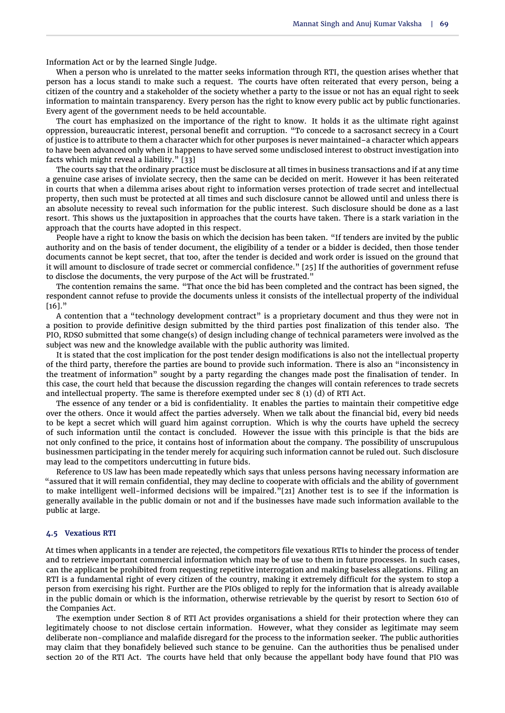Information Act or by the learned Single Judge.

When a person who is unrelated to the matter seeks information through RTI, the question arises whether that person has a locus standi to make such a request. The courts have often reiterated that every person, being a citizen of the country and a stakeholder of the society whether a party to the issue or not has an equal right to seek information to maintain transparency. Every person has the right to know every public act by public functionaries. Every agent of the government needs to be held accountable.

The court has emphasized on the importance of the right to know. It holds it as the ultimate right against oppression, bureaucratic interest, personal benefit and corruption. "To concede to a sacrosanct secrecy in a Court of justice is to attribute to them a character which for other purposes is never maintained–a character which appears to have been advanced only when it happens to have served some undisclosed interest to obstruct investigation into facts which might reveal a liability." [\[33\]](#page-10-29)

The courts say that the ordinary practice must be disclosure at all times in business transactions and if at any time a genuine case arises of inviolate secrecy, then the same can be decided on merit. However it has been reiterated in courts that when a dilemma arises about right to information verses protection of trade secret and intellectual property, then such must be protected at all times and such disclosure cannot be allowed until and unless there is an absolute necessity to reveal such information for the public interest. Such disclosure should be done as a last resort. This shows us the juxtaposition in approaches that the courts have taken. There is a stark variation in the approach that the courts have adopted in this respect.

People have a right to know the basis on which the decision has been taken. "If tenders are invited by the public authority and on the basis of tender document, the eligibility of a tender or a bidder is decided, then those tender documents cannot be kept secret, that too, after the tender is decided and work order is issued on the ground that it will amount to disclosure of trade secret or commercial confidence." [\[25\]](#page-10-21) If the authorities of government refuse to disclose the documents, the very purpose of the Act will be frustrated."

The contention remains the same. "That once the bid has been completed and the contract has been signed, the respondent cannot refuse to provide the documents unless it consists of the intellectual property of the individual  $[16]$ ."

A contention that a "technology development contract" is a proprietary document and thus they were not in a position to provide definitive design submitted by the third parties post finalization of this tender also. The PIO, RDSO submitted that some change(s) of design including change of technical parameters were involved as the subject was new and the knowledge available with the public authority was limited.

It is stated that the cost implication for the post tender design modifications is also not the intellectual property of the third party, therefore the parties are bound to provide such information. There is also an "inconsistency in the treatment of information" sought by a party regarding the changes made post the finalisation of tender. In this case, the court held that because the discussion regarding the changes will contain references to trade secrets and intellectual property. The same is therefore exempted under sec 8 (1) (d) of RTI Act.

The essence of any tender or a bid is confidentiality. It enables the parties to maintain their competitive edge over the others. Once it would affect the parties adversely. When we talk about the financial bid, every bid needs to be kept a secret which will guard him against corruption. Which is why the courts have upheld the secrecy of such information until the contact is concluded. However the issue with this principle is that the bids are not only confined to the price, it contains host of information about the company. The possibility of unscrupulous businessmen participating in the tender merely for acquiring such information cannot be ruled out. Such disclosure may lead to the competitors undercutting in future bids.

Reference to US law has been made repeatedly which says that unless persons having necessary information are "assured that it will remain confidential, they may decline to cooperate with officials and the ability of government to make intelligent well-informed decisions will be impaired."[\[21\]](#page-10-17) Another test is to see if the information is generally available in the public domain or not and if the businesses have made such information available to the public at large.

#### **4.5 Vexatious RTI**

At times when applicants in a tender are rejected, the competitors file vexatious RTIs to hinder the process of tender and to retrieve important commercial information which may be of use to them in future processes. In such cases, can the applicant be prohibited from requesting repetitive interrogation and making baseless allegations. Filing an RTI is a fundamental right of every citizen of the country, making it extremely difficult for the system to stop a person from exercising his right. Further are the PIOs obliged to reply for the information that is already available in the public domain or which is the information, otherwise retrievable by the querist by resort to Section 610 of the Companies Act.

The exemption under Section 8 of RTI Act provides organisations a shield for their protection where they can legitimately choose to not disclose certain information. However, what they consider as legitimate may seem deliberate non-compliance and malafide disregard for the process to the information seeker. The public authorities may claim that they bonafidely believed such stance to be genuine. Can the authorities thus be penalised under section 20 of the RTI Act. The courts have held that only because the appellant body have found that PIO was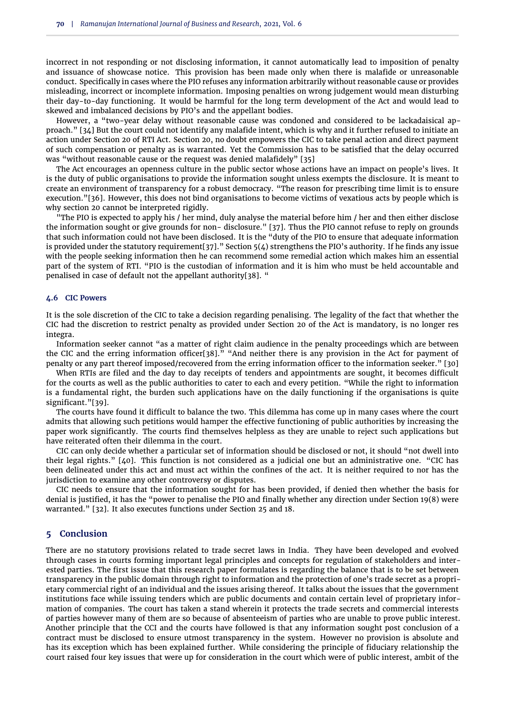incorrect in not responding or not disclosing information, it cannot automatically lead to imposition of penalty and issuance of showcase notice. This provision has been made only when there is malafide or unreasonable conduct. Specifically in cases where the PIO refuses any information arbitrarily without reasonable cause or provides misleading, incorrect or incomplete information. Imposing penalties on wrong judgement would mean disturbing their day-to-day functioning. It would be harmful for the long term development of the Act and would lead to skewed and imbalanced decisions by PIO's and the appellant bodies.

However, a "two-year delay without reasonable cause was condoned and considered to be lackadaisical approach." [\[34\]](#page-10-30) But the court could not identify any malafide intent, which is why and it further refused to initiate an action under Section 20 of RTI Act. Section 20, no doubt empowers the CIC to take penal action and direct payment of such compensation or penalty as is warranted. Yet the Commission has to be satisfied that the delay occurred was "without reasonable cause or the request was denied malafidely" [\[35\]](#page-10-31)

The Act encourages an openness culture in the public sector whose actions have an impact on people's lives. It is the duty of public organisations to provide the information sought unless exempts the disclosure. It is meant to create an environment of transparency for a robust democracy. "The reason for prescribing time limit is to ensure execution."[\[36\]](#page-10-32). However, this does not bind organisations to become victims of vexatious acts by people which is why section 20 cannot be interpreted rigidly.

"The PIO is expected to apply his / her mind, duly analyse the material before him / her and then either disclose the information sought or give grounds for non- disclosure." [\[37\]](#page-10-33). Thus the PIO cannot refuse to reply on grounds that such information could not have been disclosed. It is the "duty of the PIO to ensure that adequate information is provided under the statutory requirement[\[37\]](#page-10-33)." Section  $5(4)$  strengthens the PIO's authority. If he finds any issue with the people seeking information then he can recommend some remedial action which makes him an essential part of the system of RTI. "PIO is the custodian of information and it is him who must be held accountable and penalised in case of default not the appellant authority[\[38\]](#page-10-34). "

#### **4.6 CIC Powers**

It is the sole discretion of the CIC to take a decision regarding penalising. The legality of the fact that whether the CIC had the discretion to restrict penalty as provided under Section 20 of the Act is mandatory, is no longer res integra.

Information seeker cannot "as a matter of right claim audience in the penalty proceedings which are between the CIC and the erring information officer[\[38\]](#page-10-34)." "And neither there is any provision in the Act for payment of penalty or any part thereof imposed/recovered from the erring information officer to the information seeker." [\[30\]](#page-10-26)

When RTIs are filed and the day to day receipts of tenders and appointments are sought, it becomes difficult for the courts as well as the public authorities to cater to each and every petition. "While the right to information is a fundamental right, the burden such applications have on the daily functioning if the organisations is quite significant."[\[39\]](#page-10-35).

The courts have found it difficult to balance the two. This dilemma has come up in many cases where the court admits that allowing such petitions would hamper the effective functioning of public authorities by increasing the paper work significantly. The courts find themselves helpless as they are unable to reject such applications but have reiterated often their dilemma in the court.

CIC can only decide whether a particular set of information should be disclosed or not, it should "not dwell into their legal rights." [\[40\]](#page-10-36). This function is not considered as a judicial one but an administrative one. "CIC has been delineated under this act and must act within the confines of the act. It is neither required to nor has the jurisdiction to examine any other controversy or disputes.

CIC needs to ensure that the information sought for has been provided, if denied then whether the basis for denial is justified, it has the "power to penalise the PIO and finally whether any direction under Section 19(8) were warranted." [\[32\]](#page-10-28). It also executes functions under Section 25 and 18.

# **5 Conclusion**

There are no statutory provisions related to trade secret laws in India. They have been developed and evolved through cases in courts forming important legal principles and concepts for regulation of stakeholders and interested parties. The first issue that this research paper formulates is regarding the balance that is to be set between transparency in the public domain through right to information and the protection of one's trade secret as a proprietary commercial right of an individual and the issues arising thereof. It talks about the issues that the government institutions face while issuing tenders which are public documents and contain certain level of proprietary information of companies. The court has taken a stand wherein it protects the trade secrets and commercial interests of parties however many of them are so because of absenteeism of parties who are unable to prove public interest. Another principle that the CCI and the courts have followed is that any information sought post conclusion of a contract must be disclosed to ensure utmost transparency in the system. However no provision is absolute and has its exception which has been explained further. While considering the principle of fiduciary relationship the court raised four key issues that were up for consideration in the court which were of public interest, ambit of the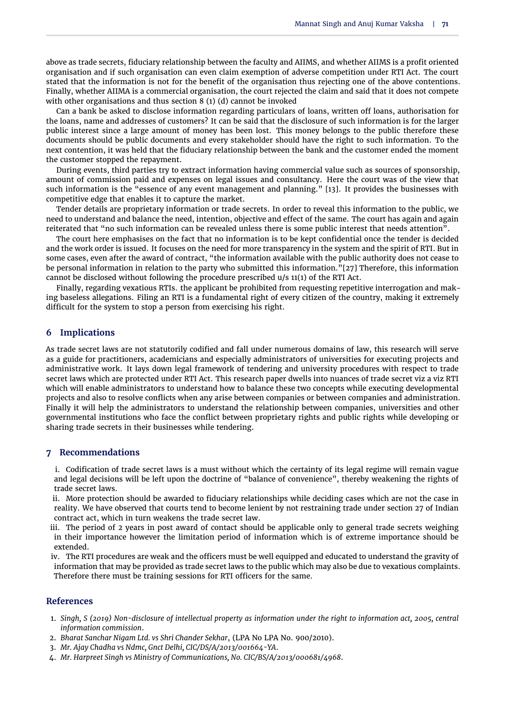above as trade secrets, fiduciary relationship between the faculty and AIIMS, and whether AIIMS is a profit oriented organisation and if such organisation can even claim exemption of adverse competition under RTI Act. The court stated that the information is not for the benefit of the organisation thus rejecting one of the above contentions. Finally, whether AIIMA is a commercial organisation, the court rejected the claim and said that it does not compete with other organisations and thus section 8 (1) (d) cannot be invoked

Can a bank be asked to disclose information regarding particulars of loans, written off loans, authorisation for the loans, name and addresses of customers? It can be said that the disclosure of such information is for the larger public interest since a large amount of money has been lost. This money belongs to the public therefore these documents should be public documents and every stakeholder should have the right to such information. To the next contention, it was held that the fiduciary relationship between the bank and the customer ended the moment the customer stopped the repayment.

During events, third parties try to extract information having commercial value such as sources of sponsorship, amount of commission paid and expenses on legal issues and consultancy. Here the court was of the view that such information is the "essence of any event management and planning." [\[13\]](#page-10-9). It provides the businesses with competitive edge that enables it to capture the market.

Tender details are proprietary information or trade secrets. In order to reveal this information to the public, we need to understand and balance the need, intention, objective and effect of the same. The court has again and again reiterated that "no such information can be revealed unless there is some public interest that needs attention".

The court here emphasises on the fact that no information is to be kept confidential once the tender is decided and the work order is issued. It focuses on the need for more transparency in the system and the spirit of RTI. But in some cases, even after the award of contract, "the information available with the public authority does not cease to be personal information in relation to the party who submitted this information."[\[27\]](#page-10-23) Therefore, this information cannot be disclosed without following the procedure prescribed u/s 11(1) of the RTI Act.

Finally, regarding vexatious RTIs. the applicant be prohibited from requesting repetitive interrogation and making baseless allegations. Filing an RTI is a fundamental right of every citizen of the country, making it extremely difficult for the system to stop a person from exercising his right.

# **6 Implications**

As trade secret laws are not statutorily codified and fall under numerous domains of law, this research will serve as a guide for practitioners, academicians and especially administrators of universities for executing projects and administrative work. It lays down legal framework of tendering and university procedures with respect to trade secret laws which are protected under RTI Act. This research paper dwells into nuances of trade secret viz a viz RTI which will enable administrators to understand how to balance these two concepts while executing developmental projects and also to resolve conflicts when any arise between companies or between companies and administration. Finally it will help the administrators to understand the relationship between companies, universities and other governmental institutions who face the conflict between proprietary rights and public rights while developing or sharing trade secrets in their businesses while tendering.

## **7 Recommendations**

i. Codification of trade secret laws is a must without which the certainty of its legal regime will remain vague and legal decisions will be left upon the doctrine of "balance of convenience", thereby weakening the rights of trade secret laws.

ii. More protection should be awarded to fiduciary relationships while deciding cases which are not the case in reality. We have observed that courts tend to become lenient by not restraining trade under section 27 of Indian contract act, which in turn weakens the trade secret law.

iii. The period of 2 years in post award of contact should be applicable only to general trade secrets weighing in their importance however the limitation period of information which is of extreme importance should be extended.

iv. The RTI procedures are weak and the officers must be well equipped and educated to understand the gravity of information that may be provided as trade secret laws to the public which may also be due to vexatious complaints. Therefore there must be training sessions for RTI officers for the same.

## **References**

- <span id="page-9-0"></span>1. *Singh, S (2019) Non-disclosure of intellectual property as information under the right to information act, 2005, central information commission*.
- <span id="page-9-1"></span>2. *Bharat Sanchar Nigam Ltd. vs Shri Chander Sekhar*, (LPA No LPA No. 900/2010).
- <span id="page-9-2"></span>3. *Mr. Ajay Chadha vs Ndmc, Gnct Delhi, CIC/DS/A/2013/001664-YA*.
- <span id="page-9-3"></span>4. *Mr. Harpreet Singh vs Ministry of Communications, No. CIC/BS/A/2013/000681/4968*.